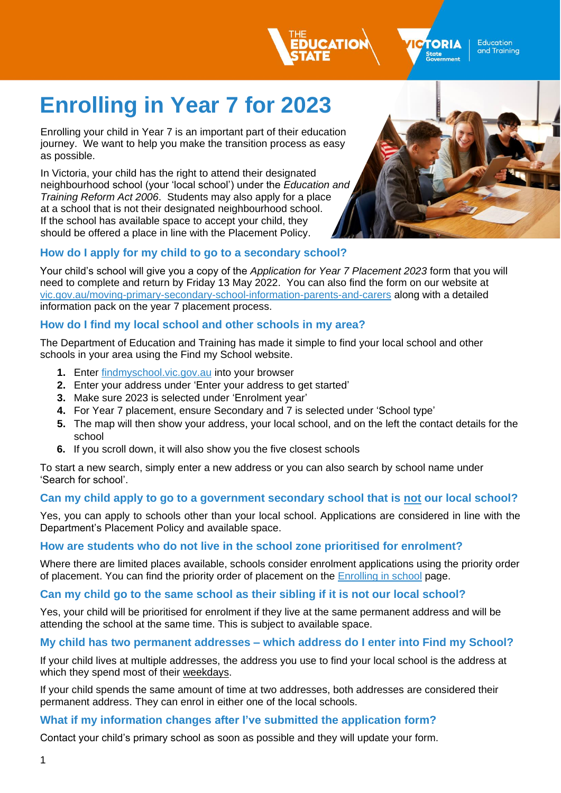

**TORIA** State<br>Government

**Education** and Training

# **Enrolling in Year 7 for 2023**

Enrolling your child in Year 7 is an important part of their education journey. We want to help you make the transition process as easy as possible.

In Victoria, your child has the right to attend their designated neighbourhood school (your 'local school') under the *[Education and](https://www.education.vic.gov.au/about/department/legislation/Pages/act2006.aspx)  [Training Reform Act 2006](https://www.education.vic.gov.au/about/department/legislation/Pages/act2006.aspx)*. Students may also apply for a place at a school that is not their designated neighbourhood school. If the school has available space to accept your child, they should be offered a place in line with the [Placement Policy.](https://www2.education.vic.gov.au/pal/enrolment/guidance/placement-policy)

## **How do I apply for my child to go to a secondary school?**

Your child's school will give you a copy of the *Application for Year 7 Placement 2023* form that you will need to complete and return by Friday 13 May 2022. You can also find the form on our website at [vic.gov.au/moving-primary-secondary-school-information-parents-and-carers](http://www.vic.gov.au/moving-primary-secondary-school-information-parents-and-carers) along with a detailed information pack on the year 7 placement process.

### **How do I find my local school and other schools in my area?**

The Department of Education and Training has made it simple to find your local school and other schools in your area using the Find my School website.

- **1.** Enter [findmyschool.vic.gov.au](http://www.findmyschool.vic.gov.au/) into your browser
- **2.** Enter your address under 'Enter your address to get started'
- **3.** Make sure 2023 is selected under 'Enrolment year'
- **4.** For Year 7 placement, ensure Secondary and 7 is selected under 'School type'
- **5.** The map will then show your address, your local school, and on the left the contact details for the school
- **6.** If you scroll down, it will also show you the five closest schools

To start a new search, simply enter a new address or you can also search by school name under 'Search for school'.

### **Can my child apply to go to a government secondary school that is not our local school?**

Yes, you can apply to schools other than your local school. Applications are considered in line with the Department's Placement Policy and available space.

#### **How are students who do not live in the school zone prioritised for enrolment?**

Where there are limited places available, schools consider enrolment applications using the priority order of placement. You can find the priority order of placement on the [Enrolling in school](https://www.vic.gov.au/how-choose-school-and-enrol) page.

#### **Can my child go to the same school as their sibling if it is not our local school?**

Yes, your child will be prioritised for enrolment if they live at the same permanent address and will be attending the school at the same time. This is subject to available space.

#### **My child has two permanent addresses – which address do I enter into Find my School?**

If your child lives at multiple addresses, the address you use to find your local school is the address at which they spend most of their weekdays.

If your child spends the same amount of time at two addresses, both addresses are considered their permanent address. They can enrol in either one of the local schools.

#### **What if my information changes after I've submitted the application form?**

Contact your child's primary school as soon as possible and they will update your form.

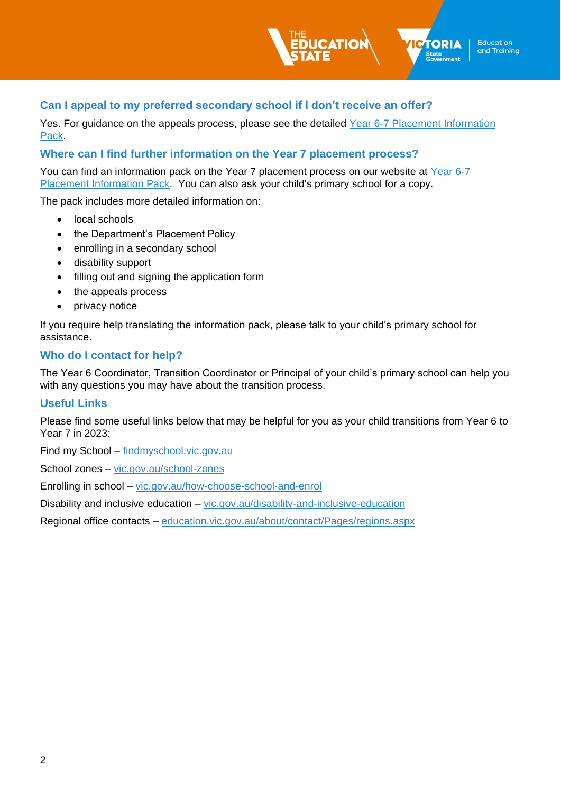

Yes. For guidance on the appeals process, please see the detailed [Year 6-7 Placement Information](http://www.vic.gov.au/moving-primary-secondary-school-information-parents-and-carers)  [Pack.](http://www.vic.gov.au/moving-primary-secondary-school-information-parents-and-carers)

Education

and Training

TORIA

State<br>Government

#### **Where can I find further information on the Year 7 placement process?**

You can find an information pack on the Year 7 placement process on our website at [Year 6-7](http://www.vic.gov.au/moving-primary-secondary-school-information-parents-and-carers)  [Placement Information Pack.](http://www.vic.gov.au/moving-primary-secondary-school-information-parents-and-carers) You can also ask your child's primary school for a copy.

The pack includes more detailed information on:

- local schools
- the Department's Placement Policy
- enrolling in a secondary school
- disability support
- filling out and signing the application form
- the appeals process
- privacy notice

If you require help translating the information pack, please talk to your child's primary school for assistance.

#### **Who do I contact for help?**

The Year 6 Coordinator, Transition Coordinator or Principal of your child's primary school can help you with any questions you may have about the transition process.

#### **Useful Links**

Please find some useful links below that may be helpful for you as your child transitions from Year 6 to Year 7 in 2023:

Find my School – [findmyschool.vic.gov.au](http://www.findmyschool.vic.gov.au/)

School zones – [vic.gov.au/school-zones](http://www.vic.gov.au/school-zones)

Enrolling in school – vic.gov.au/how-choose-school-and-enrol

Disability and inclusive education – [vic.gov.au/disability-and-inclusive-education](https://www.vic.gov.au/disability-and-inclusive-education)

Regional office contacts – [education.vic.gov.au/about/contact/Pages/regions.aspx](https://www.education.vic.gov.au/about/contact/Pages/regions.aspx)